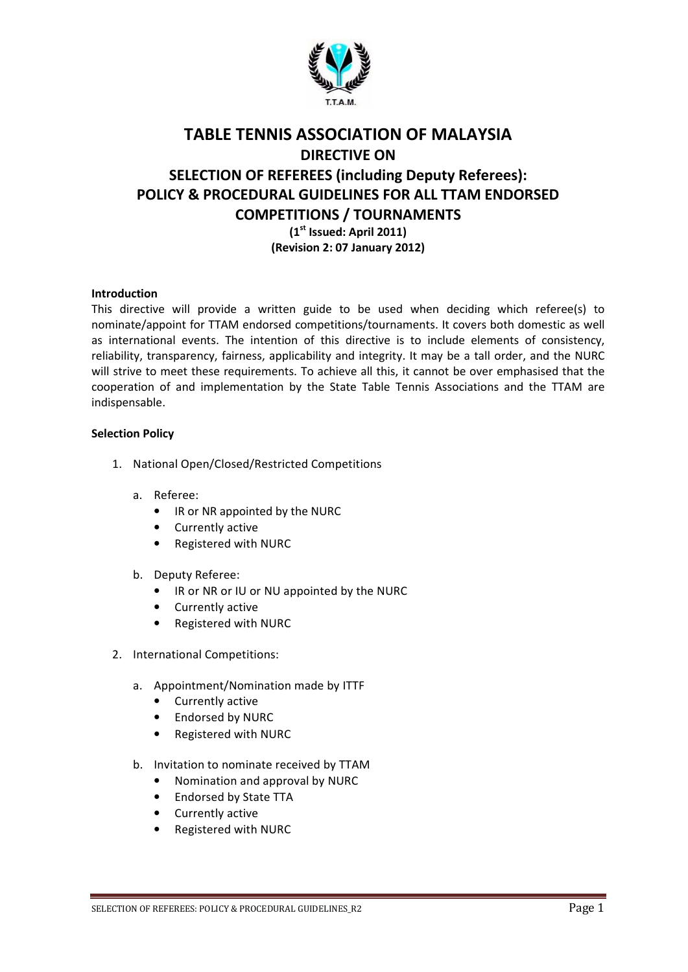

# TABLE TENNIS ASSOCIATION OF MALAYSIA DIRECTIVE ON SELECTION OF REFEREES (including Deputy Referees): POLICY & PROCEDURAL GUIDELINES FOR ALL TTAM ENDORSED COMPETITIONS / TOURNAMENTS  $(1<sup>st</sup>$  Issued: April 2011) (Revision 2: 07 January 2012)

## Introduction

This directive will provide a written guide to be used when deciding which referee(s) to nominate/appoint for TTAM endorsed competitions/tournaments. It covers both domestic as well as international events. The intention of this directive is to include elements of consistency, reliability, transparency, fairness, applicability and integrity. It may be a tall order, and the NURC will strive to meet these requirements. To achieve all this, it cannot be over emphasised that the cooperation of and implementation by the State Table Tennis Associations and the TTAM are indispensable.

#### Selection Policy

- 1. National Open/Closed/Restricted Competitions
	- a. Referee:
		- IR or NR appointed by the NURC
		- Currently active
		- Registered with NURC
	- b. Deputy Referee:
		- IR or NR or IU or NU appointed by the NURC
		- Currently active
		- Registered with NURC
- 2. International Competitions:
	- a. Appointment/Nomination made by ITTF
		- Currently active
		- Endorsed by NURC
		- Registered with NURC
	- b. Invitation to nominate received by TTAM
		- Nomination and approval by NURC
		- Endorsed by State TTA
		- Currently active
		- Registered with NURC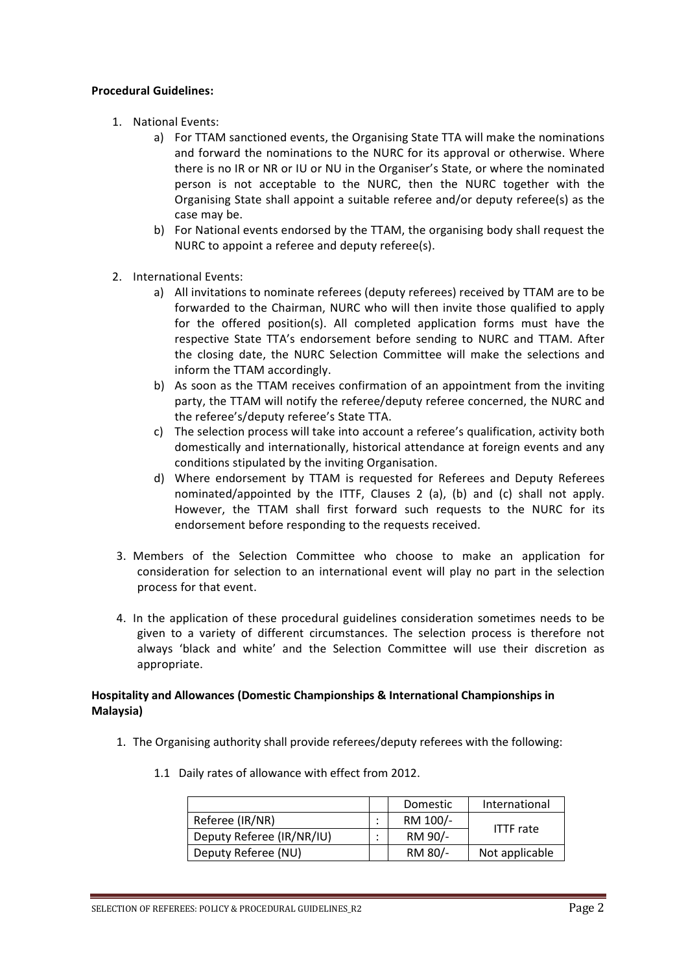#### Procedural Guidelines:

- 1. National Events:
	- a) For TTAM sanctioned events, the Organising State TTA will make the nominations and forward the nominations to the NURC for its approval or otherwise. Where there is no IR or NR or IU or NU in the Organiser's State, or where the nominated person is not acceptable to the NURC, then the NURC together with the Organising State shall appoint a suitable referee and/or deputy referee(s) as the case may be.
	- b) For National events endorsed by the TTAM, the organising body shall request the NURC to appoint a referee and deputy referee(s).
- 2. International Events:
	- a) All invitations to nominate referees (deputy referees) received by TTAM are to be forwarded to the Chairman, NURC who will then invite those qualified to apply for the offered position(s). All completed application forms must have the respective State TTA's endorsement before sending to NURC and TTAM. After the closing date, the NURC Selection Committee will make the selections and inform the TTAM accordingly.
	- b) As soon as the TTAM receives confirmation of an appointment from the inviting party, the TTAM will notify the referee/deputy referee concerned, the NURC and the referee's/deputy referee's State TTA.
	- c) The selection process will take into account a referee's qualification, activity both domestically and internationally, historical attendance at foreign events and any conditions stipulated by the inviting Organisation.
	- d) Where endorsement by TTAM is requested for Referees and Deputy Referees nominated/appointed by the ITTF, Clauses 2 (a), (b) and (c) shall not apply. However, the TTAM shall first forward such requests to the NURC for its endorsement before responding to the requests received.
- 3. Members of the Selection Committee who choose to make an application for consideration for selection to an international event will play no part in the selection process for that event.
- 4. In the application of these procedural guidelines consideration sometimes needs to be given to a variety of different circumstances. The selection process is therefore not always 'black and white' and the Selection Committee will use their discretion as appropriate.

# Hospitality and Allowances (Domestic Championships & International Championships in Malaysia)

1. The Organising authority shall provide referees/deputy referees with the following:

|                           | <b>Domestic</b> | International    |
|---------------------------|-----------------|------------------|
| Referee (IR/NR)           | RM 100/-        | <b>ITTF</b> rate |
| Deputy Referee (IR/NR/IU) | RM 90/-         |                  |
| Deputy Referee (NU)       | RM 80/-         | Not applicable   |

1.1 Daily rates of allowance with effect from 2012.